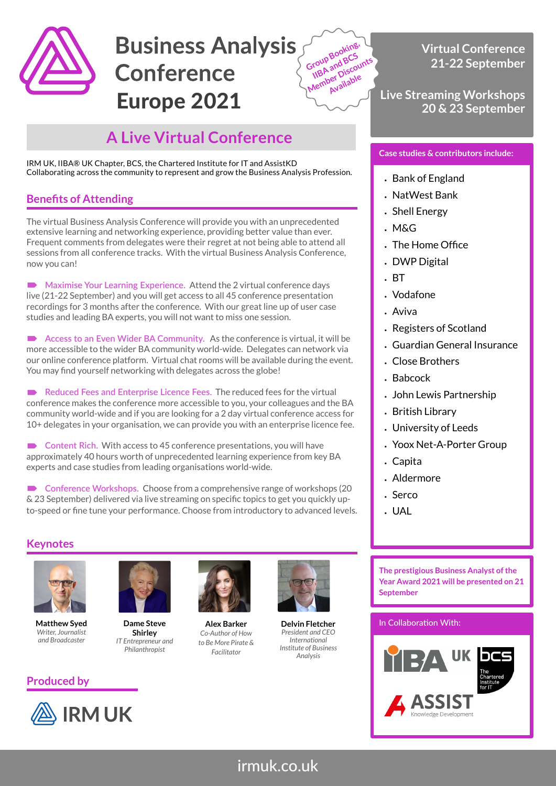

# **Business Analysis Conference** Europe 2021



## **A Live Virtual Conference**

IRM UK, IIBA® UK Chapter, BCS, the Chartered Institute for IT and AssistKD Collaborating across the community to represent and grow the Business Analysis Profession.

## **Benefits of Attending**

The virtual Business Analysis Conference will provide you with an unprecedented extensive learning and networking experience, providing better value than ever. Frequent comments from delegates were their regret at not being able to attend all sessions from all conference tracks. With the virtual Business Analysis Conference, now you can!

 **Maximise Your Learning Experience.** Attend the 2 virtual conference days live (21-22 September) and you will get access to all 45 conference presentation recordings for 3 months after the conference. With our great line up of user case studies and leading BA experts, you will not want to miss one session.

 **Access to an Even Wider BA Community.** As the conference is virtual, it will be more accessible to the wider BA community world-wide. Delegates can network via our online conference platform. Virtual chat rooms will be available during the event. You may find yourself networking with delegates across the globe!

Reduced Fees and Enterprise Licence Fees. The reduced fees for the virtual conference makes the conference more accessible to you, your colleagues and the BA community world-wide and if you are looking for a 2 day virtual conference access for 10+ delegates in your organisation, we can provide you with an enterprise licence fee.

■ Content Rich. With access to 45 conference presentations, you will have approximately 40 hours worth of unprecedented learning experience from key BA experts and case studies from leading organisations world-wide.

 **Conference Workshops.** Choose from a comprehensive range of workshops (20 & 23 September) delivered via live streaming on specific topics to get you quickly upto-speed or fine tune your performance. Choose from introductory to advanced levels.

## **Keynotes**



**Matthew Syed** *Writer, Journalist and Broadcaster*



**Dame Steve Shirley** *IT Entrepreneur and Philanthropist*



**Alex Barker** *Co-Author of How to Be More Pirate & Facilitator*



**Delvin Fletcher** *President and CEO International Institute of Business Analysis*

**Virtual Conference 21-22 September**

**Live Streaming Workshops 20 & 23 September**

## **Case studies & contributors include:**

- Bank of England
- NatWest Bank
- Shell Energy
- M&G
- The Home Office
- DWP Digital
- BT
- Vodafone
- Aviva
- Registers of Scotland
- Guardian General Insurance
- Close Brothers
- Babcock
- John Lewis Partnership
- British Library
- University of Leeds
- Yoox Net-A-Porter Group
- Capita
- Aldermore
- Serco
- UAL

**The prestigious Business Analyst of the Year Award 2021 will be presented on 21 September**

### In Collaboration With:



## **Produced by**

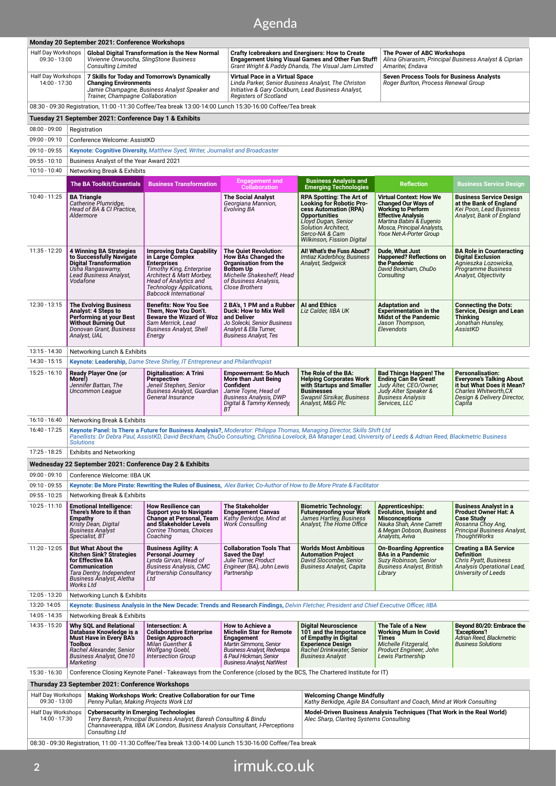## **induk Agenda**

| Monday 20 September 2021: Conference Workshops                                                                                        |                                                                                                                                                                                                                                                                                                                    |                                                                                                                                                                                                                                |                                                                                                                                                                                   |                                                                                                                                                                                                            |                                                                                                                                                                           |                                                                                                                                                                  |  |  |
|---------------------------------------------------------------------------------------------------------------------------------------|--------------------------------------------------------------------------------------------------------------------------------------------------------------------------------------------------------------------------------------------------------------------------------------------------------------------|--------------------------------------------------------------------------------------------------------------------------------------------------------------------------------------------------------------------------------|-----------------------------------------------------------------------------------------------------------------------------------------------------------------------------------|------------------------------------------------------------------------------------------------------------------------------------------------------------------------------------------------------------|---------------------------------------------------------------------------------------------------------------------------------------------------------------------------|------------------------------------------------------------------------------------------------------------------------------------------------------------------|--|--|
| Half Day Workshops<br>$09:30 - 13:00$                                                                                                 | <b>Global Digital Transformation is the New Normal</b><br>Vivienne Onwuocha, SlingStone Business<br><b>Consulting Limited</b>                                                                                                                                                                                      |                                                                                                                                                                                                                                |                                                                                                                                                                                   | <b>Crafty Icebreakers and Energisers: How to Create</b><br><b>Engagement Using Visual Games and Other Fun Stuff!</b><br>Grant Wright & Paddy Dhanda, The Visual Jam Limited                                |                                                                                                                                                                           | The Power of ABC Workshops<br>Alina Ghiarasim, Principal Business Analyst & Ciprian<br>Amaritei, Endava                                                          |  |  |
| Half Day Workshops<br>14:00 - 17:30                                                                                                   | <b>Changing Environments</b><br>Trainer, Champagne Collaboration                                                                                                                                                                                                                                                   | 7 Skills for Today and Tomorrow's Dynamically<br>Jamie Champagne, Business Analyst Speaker and                                                                                                                                 | Virtual Pace in a Virtual Space<br>Linda Parker, Senior Business Analyst, The Christon<br>Initiative & Gary Cockburn, Lead Business Analyst,<br><b>Registers of Scotland</b>      |                                                                                                                                                                                                            | <b>Seven Process Tools for Business Analysts</b><br>Roger Burlton, Process Renewal Group                                                                                  |                                                                                                                                                                  |  |  |
| 08:30 - 09:30 Registration, 11:00 -11:30 Coffee/Tea break 13:00-14:00 Lunch 15:30-16:00 Coffee/Tea break                              |                                                                                                                                                                                                                                                                                                                    |                                                                                                                                                                                                                                |                                                                                                                                                                                   |                                                                                                                                                                                                            |                                                                                                                                                                           |                                                                                                                                                                  |  |  |
|                                                                                                                                       | Tuesday 21 September 2021: Conference Day 1 & Exhibits                                                                                                                                                                                                                                                             |                                                                                                                                                                                                                                |                                                                                                                                                                                   |                                                                                                                                                                                                            |                                                                                                                                                                           |                                                                                                                                                                  |  |  |
| $08:00 - 09:00$                                                                                                                       | Registration                                                                                                                                                                                                                                                                                                       |                                                                                                                                                                                                                                |                                                                                                                                                                                   |                                                                                                                                                                                                            |                                                                                                                                                                           |                                                                                                                                                                  |  |  |
| $09:00 - 09:10$                                                                                                                       | Conference Welcome: AssistKD                                                                                                                                                                                                                                                                                       |                                                                                                                                                                                                                                |                                                                                                                                                                                   |                                                                                                                                                                                                            |                                                                                                                                                                           |                                                                                                                                                                  |  |  |
| $09:10 - 09:55$<br>$09:55 - 10:10$                                                                                                    | Keynote: Cognitive Diversity, Matthew Syed, Writer, Journalist and Broadcaster                                                                                                                                                                                                                                     |                                                                                                                                                                                                                                |                                                                                                                                                                                   |                                                                                                                                                                                                            |                                                                                                                                                                           |                                                                                                                                                                  |  |  |
| 10:10 - 10:40                                                                                                                         | Business Analyst of the Year Award 2021<br>Networking Break & Exhibits                                                                                                                                                                                                                                             |                                                                                                                                                                                                                                |                                                                                                                                                                                   |                                                                                                                                                                                                            |                                                                                                                                                                           |                                                                                                                                                                  |  |  |
|                                                                                                                                       | <b>The BA Toolkit/Essentials</b>                                                                                                                                                                                                                                                                                   | <b>Business Transformation</b>                                                                                                                                                                                                 | <b>Engagement and</b>                                                                                                                                                             | <b>Business Analysis and</b>                                                                                                                                                                               | <b>Reflection</b>                                                                                                                                                         | <b>Business Service Design</b>                                                                                                                                   |  |  |
| 10:40 - 11:25                                                                                                                         | <b>BA Triangle</b>                                                                                                                                                                                                                                                                                                 |                                                                                                                                                                                                                                | <b>Collaboration</b><br><b>The Social Analyst</b>                                                                                                                                 | <b>Emerging Technologies</b>                                                                                                                                                                               | <b>Virtual Context: How We</b>                                                                                                                                            | <b>Business Service Design</b>                                                                                                                                   |  |  |
|                                                                                                                                       | Catherine Plumridge,<br>Head of BA & CI Practice,<br>Aldermore                                                                                                                                                                                                                                                     |                                                                                                                                                                                                                                | Georgiana Mannion,<br><b>Evolving BA</b>                                                                                                                                          | RPA Spotting: The Art of<br>Looking for Robotic Pro-<br>cess Automation (RPA)<br><b>Opportunities</b><br>Lloyd Dugan, Senior<br>Solution Architect.<br>Serco-NA & Cam<br><b>Wilkinson, Fission Digital</b> | <b>Changed Our Ways of</b><br><b>Working to Perform</b><br><b>Effective Analysis</b><br>Martina Babini & Eugenio<br>Mosca, Principal Analysts,<br>Yoox Net-A-Porter Group | at the Bank of England<br>Kei Poon, Lead Business<br>Analyst, Bank of England                                                                                    |  |  |
| 11:35 - 12:20                                                                                                                         | <b>4 Winning BA Strategies</b><br>to Successfully Navigate<br><b>Digital Transformation</b><br>Usha Rangaswamy,<br>Lead Business Analyst,<br>Vodafone                                                                                                                                                              | <b>Improving Data Capability</b><br>in Large Complex<br><b>Enterprises</b><br><b>Timothy King, Enterprise</b><br>Architect & Matt Morbey,<br>Head of Analytics and<br>Technology Applications,<br><b>Babcock International</b> | <b>The Quiet Revolution:</b><br><b>How BAs Changed the</b><br>Organisation from the<br><b>Bottom Up</b><br>Michelle Shakesheff, Head<br>of Business Analysis,<br>Close Brothers   | Al! What's the Fuss About?<br>Imtiaz Kaderbhoy, Business<br>Analyst, Sedgwick                                                                                                                              | Dude, What Just<br><b>Happened? Reflections on</b><br>the Pandemic<br>David Beckham, ChuDo<br>Consulting                                                                  | <b>BA Role in Counteracting</b><br><b>Digital Exclusion</b><br>Agnieszka Lozowicka,<br>Programme Business<br>Analyst, Objectivity                                |  |  |
| 12:30 - 13:15                                                                                                                         | <b>The Evolving Business</b><br>Analyst: 4 Steps to<br><b>Performing at your Best</b><br><b>Without Burning Out</b><br>Donovan Grant, Business<br>Analyst, UAL                                                                                                                                                     | <b>Benefits: Now You See</b><br>Them, Now You Don't.<br><b>Beware the Wizard of Woz</b><br>Sam Merrick, Lead<br><b>Business Analyst, Shell</b><br>Energy                                                                       | 2 BA's, 1 PM and a Rubber<br>Duck: How to Mix Well<br>and Deliver<br>Jo Solecki, Senior Business<br>Analyst & Ella Turner,<br><b>Business Analyst, Tes</b>                        | <b>AI and Ethics</b><br>Liz Calder, IIBA UK                                                                                                                                                                | <b>Adaptation and</b><br><b>Experimentation in the</b><br><b>Midst of the Pandemic</b><br>Jason Thompson,<br>Elevendots                                                   | <b>Connecting the Dots:</b><br>Service, Design and Lean<br>Thinking<br>Jonathan Hunsley,<br>AssistKD                                                             |  |  |
| 13:15 - 14:30                                                                                                                         | Networking Lunch & Exhibits                                                                                                                                                                                                                                                                                        |                                                                                                                                                                                                                                |                                                                                                                                                                                   |                                                                                                                                                                                                            |                                                                                                                                                                           |                                                                                                                                                                  |  |  |
| 14:30 - 15:15                                                                                                                         | <b>Keynote: Leadership, Dame Steve Shirley, IT Entrepreneur and Philanthropist</b>                                                                                                                                                                                                                                 |                                                                                                                                                                                                                                |                                                                                                                                                                                   |                                                                                                                                                                                                            |                                                                                                                                                                           |                                                                                                                                                                  |  |  |
| $15:25 - 16:10$                                                                                                                       | <b>Ready Player One (or</b><br>More!)<br>Jennifer Battan, The<br>Uncommon League                                                                                                                                                                                                                                   | <b>Digitalisation: A Trini</b><br>Perspective<br>Jeneil Stephen, Senior<br>Business Analyst, Guardian<br>General Insurance                                                                                                     | <b>Empowerment: So Much</b><br>More than Just Being<br><b>Confident</b><br>Jamie Toyne, Head of<br><b>Business Analysis, DWP</b><br>Digital & Tammy Kennedy,<br>ВŤ                | The Role of the BA:<br><b>Helping Corporates Work</b><br>with Startups and Smaller<br><b>Businesses</b><br>Swapnil Sirsikar, Business<br>Analyst, M&G Plc                                                  | <b>Bad Things Happen! The</b><br><b>Ending Can Be Great!</b><br>Judy Alter, CEO/Owner,<br>Judy Alter Speaker &<br><b>Business Analysis</b><br>Services, LLC               | <b>Personalisation:</b><br><b>Everyone's Talking About</b><br>it but What Does it Mean?<br><b>Charles Whitworth, CX</b><br>Design & Delivery Director,<br>Capita |  |  |
| 16:10 - 16:40                                                                                                                         | Networking Break & Exhibits                                                                                                                                                                                                                                                                                        |                                                                                                                                                                                                                                |                                                                                                                                                                                   |                                                                                                                                                                                                            |                                                                                                                                                                           |                                                                                                                                                                  |  |  |
| 16:40 - 17:25                                                                                                                         | Keynote Panel: Is There a Future for Business Analysis?, Moderator: Philippa Thomas, Managing Director, Skills Shift Ltd<br>Panellists: Dr Debra Paul, AssistKD, David Beckham, ChuDo Consulting, Christina Lovelock, BA Manager Lead, University of Leeds & Adrian Reed, Blackmetric Business<br><b>Solutions</b> |                                                                                                                                                                                                                                |                                                                                                                                                                                   |                                                                                                                                                                                                            |                                                                                                                                                                           |                                                                                                                                                                  |  |  |
| 17:25 - 18:25                                                                                                                         | <b>Exhibits and Networking</b>                                                                                                                                                                                                                                                                                     |                                                                                                                                                                                                                                |                                                                                                                                                                                   |                                                                                                                                                                                                            |                                                                                                                                                                           |                                                                                                                                                                  |  |  |
|                                                                                                                                       | Wednesday 22 September 2021: Conference Day 2 & Exhibits                                                                                                                                                                                                                                                           |                                                                                                                                                                                                                                |                                                                                                                                                                                   |                                                                                                                                                                                                            |                                                                                                                                                                           |                                                                                                                                                                  |  |  |
| $09:00 - 09:10$                                                                                                                       | Conference Welcome: IIBA UK                                                                                                                                                                                                                                                                                        |                                                                                                                                                                                                                                |                                                                                                                                                                                   |                                                                                                                                                                                                            |                                                                                                                                                                           |                                                                                                                                                                  |  |  |
| $09:10 - 09:55$<br>$09:55 - 10:25$                                                                                                    | Keynote: Be More Pirate: Rewriting the Rules of Business, Alex Barker, Co-Author of How to Be More Pirate & Facilitator<br>Networking Break & Exhibits                                                                                                                                                             |                                                                                                                                                                                                                                |                                                                                                                                                                                   |                                                                                                                                                                                                            |                                                                                                                                                                           |                                                                                                                                                                  |  |  |
| $10:25 - 11:10$                                                                                                                       | <b>Emotional Intelligence:</b><br>There's More to it than<br>Empathy<br>Kristy Dean, Digital<br><b>Business Analyst</b><br>Specialist, BT                                                                                                                                                                          | <b>How Resilience can</b><br><b>Support you to Navigate</b><br>Change at Personal, Team<br>and Stakeholder Levels<br>Corrine Thomas, Choices<br>Coaching                                                                       | <b>The Stakeholder</b><br><b>Engagement Canvas</b><br>Kathy Berkidge, Mind at<br><b>Work Consulting</b>                                                                           | <b>Biometric Technology:</b><br>Futureproofing your Work<br>James Hartley, Business<br>Analyst, The Home Office                                                                                            | <b>Apprenticeships:</b><br>Evolution, Insight and<br><b>Misconceptions</b><br>Nauka Shah, Anne Carrett<br>& Megan Dobson, Business<br>Analysts, Aviva                     | <b>Business Analyst in a</b><br>Product Owner Hat: A<br><b>Case Study</b><br>Rosanna Choy Ang,<br>Principal Business Analyst,<br>ThoughtWorks                    |  |  |
| 11:20 - 12:05                                                                                                                         | <b>But What About the</b><br><b>Kitchen Sink? Strategies</b><br>for Effective BA<br>Communication<br>Tara Dentry, Independent<br>Business Analyst, Aletha<br>Works Ltd                                                                                                                                             | <b>Business Agility: A</b><br><b>Personal Journey</b><br>Lynda Girvan, Head of<br>Business Analysis, CMC<br>Partnership Consultancy<br>Ltd                                                                                     | <b>Collaboration Tools That</b><br>Saved the Dav!<br>Julie Turner, Product<br>Engineer (BA), John Lewis<br>Partnership                                                            | <b>Worlds Most Ambitious</b><br><b>Automation Project</b><br>David Slocombe, Senior<br><b>Business Analyst, Capita</b>                                                                                     | <b>On-Boarding Apprentice</b><br><b>BAs in a Pandemic</b><br>Suzy Robinson, Senior<br><b>Business Analyst, British</b><br>Library                                         | <b>Creating a BA Service</b><br><b>Definition</b><br>Chris Pyatt, Business<br>Analysis Operational Lead,<br><b>University of Leeds</b>                           |  |  |
| 12:05 - 13:20                                                                                                                         |                                                                                                                                                                                                                                                                                                                    | Networking Lunch & Exhibits                                                                                                                                                                                                    |                                                                                                                                                                                   |                                                                                                                                                                                                            |                                                                                                                                                                           |                                                                                                                                                                  |  |  |
| 13:20-14:05                                                                                                                           | Keynote: Business Analysis in the New Decade: Trends and Research Findings, Delvin Fletcher, President and Chief Executive Officer, IIBA                                                                                                                                                                           |                                                                                                                                                                                                                                |                                                                                                                                                                                   |                                                                                                                                                                                                            |                                                                                                                                                                           |                                                                                                                                                                  |  |  |
| 14:05 - 14:35<br>14:35 - 15:20                                                                                                        | Networking Break & Exhibits<br>Why SQL and Relational                                                                                                                                                                                                                                                              | Intersection: A                                                                                                                                                                                                                | How to Achieve a                                                                                                                                                                  | <b>Digital Neuroscience</b>                                                                                                                                                                                | The Tale of a New                                                                                                                                                         | Beyond 80/20: Embrace the                                                                                                                                        |  |  |
|                                                                                                                                       | Database Knowledge is a<br><b>Must Have in Every BA's</b><br>Toolbox<br>Rachel Alexander, Senior<br><b>Business Analyst, One10</b><br>Marketing                                                                                                                                                                    | <b>Collaborative Enterprise</b><br>Design Approach<br>Milan Guenther &<br>Wolfgang Goebl,<br><b>Intersection Group</b>                                                                                                         | <b>Michelin Star for Remote</b><br><b>Engagement</b><br>Martin Simmons, Senior<br><b>Business Analyst, Redvespa</b><br>& Paul Hickman, Senior<br><b>Business Analyst, NatWest</b> | 101 and the Importance<br>of Empathy in Digital<br><b>Experience Design</b><br>Rachel Drinkwater, Senior<br><b>Business Analyst</b>                                                                        | <b>Working Mum In Covid</b><br>Times<br>Michelle Fitzgerald,<br>Product Engineer, John<br>Lewis Partnership                                                               | 'Exceptions'!<br>Adrian Reed, Blackmetric<br><b>Business Solutions</b>                                                                                           |  |  |
| Conference Closing Keynote Panel - Takeaways from the Conference (closed by the BCS, The Chartered Institute for IT)<br>15:30 - 16:30 |                                                                                                                                                                                                                                                                                                                    |                                                                                                                                                                                                                                |                                                                                                                                                                                   |                                                                                                                                                                                                            |                                                                                                                                                                           |                                                                                                                                                                  |  |  |
|                                                                                                                                       | Thursday 23 September 2021: Conference Workshops                                                                                                                                                                                                                                                                   |                                                                                                                                                                                                                                |                                                                                                                                                                                   |                                                                                                                                                                                                            |                                                                                                                                                                           |                                                                                                                                                                  |  |  |
| Half Day Workshops<br>$09:30 - 13:00$                                                                                                 | Penny Pullan, Making Projects Work Ltd                                                                                                                                                                                                                                                                             | Making Workshops Work: Creative Collaboration for our Time                                                                                                                                                                     |                                                                                                                                                                                   | <b>Welcoming Change Mindfully</b><br>Kathy Berkidge, Agile BA Consultant and Coach, Mind at Work Consulting                                                                                                |                                                                                                                                                                           |                                                                                                                                                                  |  |  |
| Half Day Workshops<br>14:00 - 17:30                                                                                                   | <b>Consulting Ltd</b>                                                                                                                                                                                                                                                                                              | <b>Cybersecurity in Emerging Technologies</b><br>Terry Baresh, Principal Business Analyst, Baresh Consulting & Bindu<br>Channaveerappa, IIBA UK London, Business Analysis Consultant, I-Perceptions                            |                                                                                                                                                                                   |                                                                                                                                                                                                            | Model-Driven Business Analysis Techniques (That Work in the Real World)<br>Alec Sharp, Clariteg Systems Consulting                                                        |                                                                                                                                                                  |  |  |
|                                                                                                                                       |                                                                                                                                                                                                                                                                                                                    |                                                                                                                                                                                                                                | 08:30 - 09:30 Registration, 11:00 -11:30 Coffee/Tea break 13:00-14:00 Lunch 15:30-16:00 Coffee/Tea break                                                                          |                                                                                                                                                                                                            |                                                                                                                                                                           |                                                                                                                                                                  |  |  |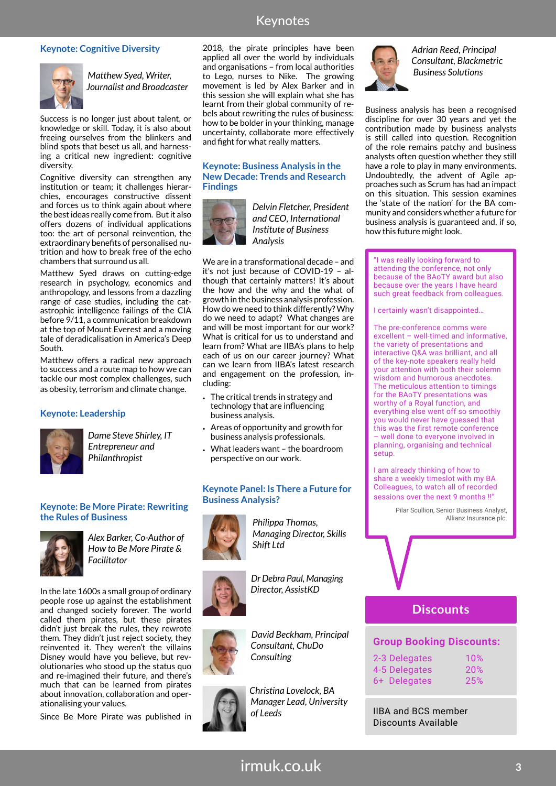## Keynotes

#### **Keynote: Cognitive Diversity**



*Matthew Syed, Writer, Journalist and Broadcaster*

Success is no longer just about talent, or knowledge or skill. Today, it is also about freeing ourselves from the blinkers and blind spots that beset us all, and harnessing a critical new ingredient: cognitive diversity.

Cognitive diversity can strengthen any institution or team; it challenges hierarchies, encourages constructive dissent and forces us to think again about where the best ideas really come from. But it also offers dozens of individual applications too: the art of personal reinvention, the extraordinary benefits of personalised nutrition and how to break free of the echo chambers that surround us all.

Matthew Syed draws on cutting-edge research in psychology, economics and anthropology, and lessons from a dazzling range of case studies, including the catastrophic intelligence failings of the CIA before 9/11, a communication breakdown at the top of Mount Everest and a moving tale of deradicalisation in America's Deep South.

Matthew offers a radical new approach to success and a route map to how we can tackle our most complex challenges, such as obesity, terrorism and climate change.

#### **Keynote: Leadership**



 *Dame Steve Shirley, IT Entrepreneur and Philanthropist*

#### **Keynote: Be More Pirate: Rewriting the Rules of Business**



*Alex Barker, Co-Author of How to Be More Pirate & Facilitator*

In the late 1600s a small group of ordinary people rose up against the establishment and changed society forever. The world called them pirates, but these pirates didn't just break the rules, they rewrote them. They didn't just reject society, they reinvented it. They weren't the villains Disney would have you believe, but revolutionaries who stood up the status quo and re-imagined their future, and there's much that can be learned from pirates about innovation, collaboration and operationalising your values.

Since Be More Pirate was published in

2018, the pirate principles have been applied all over the world by individuals and organisations – from local authorities to Lego, nurses to Nike. The growing movement is led by Alex Barker and in this session she will explain what she has learnt from their global community of rebels about rewriting the rules of business: how to be bolder in your thinking, manage uncertainty, collaborate more effectively and fight for what really matters.

#### **Keynote: Business Analysis in the New Decade: Trends and Research Findings**



*Delvin Fletcher, President and CEO, International Institute of Business Analysis*

We are in a transformational decade – and it's not just because of COVID-19 – although that certainly matters! It's about the how and the why and the what of growth in the business analysis profession. How do we need to think differently? Why do we need to adapt? What changes are and will be most important for our work? What is critical for us to understand and learn from? What are IIBA's plans to help each of us on our career journey? What can we learn from IIBA's latest research and engagement on the profession, including:

- The critical trends in strategy and technology that are influencing business analysis.
- Areas of opportunity and growth for business analysis professionals.
- What leaders want the boardroom perspective on our work.

#### **Keynote Panel: Is There a Future for Business Analysis?**



 *Philippa Thomas, Managing Director, Skills Shift Ltd*

 *Dr Debra Paul, Managing Director, AssistKD*



 *David Beckham, Principal Consultant, ChuDo Consulting*



 *Christina Lovelock, BA Manager Lead, University of Leeds*



 *Adrian Reed, Principal Consultant, Blackmetric Business Solutions*

Business analysis has been a recognised discipline for over 30 years and yet the contribution made by business analysts is still called into question. Recognition of the role remains patchy and business analysts often question whether they still have a role to play in many environments. Undoubtedly, the advent of Agile approaches such as Scrum has had an impact on this situation. This session examines the 'state of the nation' for the BA community and considers whether a future for business analysis is guaranteed and, if so, how this future might look.

"I was really looking forward to attending the conference, not only because of the BAoTY award but also because over the years I have heard such great feedback from colleagues.

I certainly wasn't disappointed…

The pre-conference comms were excellent – well-timed and informative, the variety of presentations and interactive Q&A was brilliant, and all of the key-note speakers really held your attention with both their solemn wisdom and humorous anecdotes. The meticulous attention to timings for the BAoTY presentations was worthy of a Royal function, and everything else went off so smoothly you would never have guessed that this was the first remote conference – well done to everyone involved in planning, organising and technical setup.

I am already thinking of how to share a weekly timeslot with my BA Colleagues, to watch all of recorded sessions over the next 9 months !!"

> Pilar Scullion, Senior Business Analyst, Allianz Insurance plc.

## **Discounts**

#### **Group Booking Discounts:**

| 2-3 Delegates | 10%        |
|---------------|------------|
| 4-5 Delegates | <b>20%</b> |
| 6+ Delegates  | 25%        |

IIBA and BCS member Discounts Available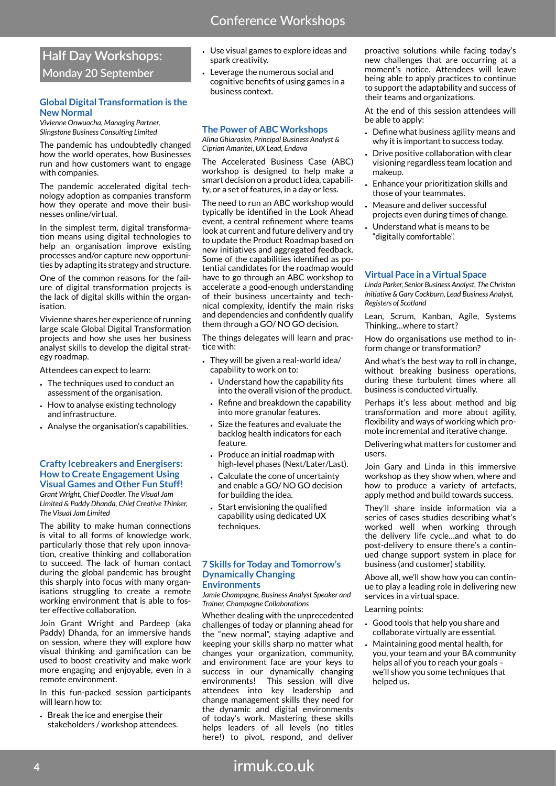## **Half Day Workshops: Monday 20 September**

#### **Global Digital Transformation is the New Normal**

*Vivienne Onwuocha, Managing Partner, Slingstone Business Consulting Limited*

The pandemic has undoubtedly changed how the world operates, how Businesses run and how customers want to engage with companies.

The pandemic accelerated digital technology adoption as companies transform how they operate and move their businesses online/virtual.

In the simplest term, digital transformation means using digital technologies to help an organisation improve existing processes and/or capture new opportunities by adapting its strategy and structure.

One of the common reasons for the failure of digital transformation projects is the lack of digital skills within the organisation.

Vivienne shares her experience of running large scale Global Digital Transformation projects and how she uses her business analyst skills to develop the digital strategy roadmap.

Attendees can expect to learn:

- The techniques used to conduct an assessment of the organisation.
- How to analyse existing technology and infrastructure.
- Analyse the organisation's capabilities.

#### **Crafty Icebreakers and Energisers: How to Create Engagement Using Visual Games and Other Fun Stuff!**

*Grant Wright, Chief Doodler, The Visual Jam Limited & Paddy Dhanda, Chief Creative Thinker, The Visual Jam Limited*

The ability to make human connections is vital to all forms of knowledge work, particularly those that rely upon innovation, creative thinking and collaboration to succeed. The lack of human contact during the global pandemic has brought this sharply into focus with many organisations struggling to create a remote working environment that is able to foster effective collaboration.

Join Grant Wright and Pardeep (aka Paddy) Dhanda, for an immersive hands on session, where they will explore how visual thinking and gamification can be used to boost creativity and make work more engaging and enjoyable, even in a remote environment.

In this fun-packed session participants will learn how to:

• Break the ice and energise their stakeholders / workshop attendees.

- Use visual games to explore ideas and spark creativity.
- Leverage the numerous social and cognitive benefits of using games in a business context.

#### **The Power of ABC Workshops**

*Alina Ghiarasim, Principal Business Analyst & Ciprian Amaritei, UX Lead, Endava*

The Accelerated Business Case (ABC) workshop is designed to help make a smart decision on a product idea, capability, or a set of features, in a day or less.

The need to run an ABC workshop would typically be identified in the Look Ahead event, a central refinement where teams look at current and future delivery and try to update the Product Roadmap based on new initiatives and aggregated feedback. Some of the capabilities identified as potential candidates for the roadmap would have to go through an ABC workshop to accelerate a good-enough understanding of their business uncertainty and technical complexity, identify the main risks and dependencies and confidently qualify them through a GO/ NO GO decision.

The things delegates will learn and practice with:

- They will be given a real-world idea/ capability to work on to:
	- Understand how the capability fits into the overall vision of the product.
	- Refine and breakdown the capability into more granular features.
	- Size the features and evaluate the backlog health indicators for each feature.
	- Produce an initial roadmap with high-level phases (Next/Later/Last).
	- Calculate the cone of uncertainty and enable a GO/ NO GO decision for building the idea.
	- Start envisioning the qualified capability using dedicated UX techniques.

#### **7 Skills for Today and Tomorrow's Dynamically Changing Environments**

*Jamie Champagne, Business Analyst Speaker and Trainer, Champagne Collaborations*

Whether dealing with the unprecedented challenges of today or planning ahead for the "new normal", staying adaptive and keeping your skills sharp no matter what changes your organization, community, and environment face are your keys to success in our dynamically changing environments! This session will dive attendees into key leadership and change management skills they need for the dynamic and digital environments of today's work. Mastering these skills helps leaders of all levels (no titles here!) to pivot, respond, and deliver

proactive solutions while facing today's new challenges that are occurring at a moment's notice. Attendees will leave being able to apply practices to continue to support the adaptability and success of their teams and organizations.

At the end of this session attendees will be able to apply:

- Define what business agility means and why it is important to success today.
- Drive positive collaboration with clear visioning regardless team location and makeup.
- Enhance your prioritization skills and those of your teammates.
- Measure and deliver successful projects even during times of change.
- Understand what is means to be "digitally comfortable".

#### **Virtual Pace in a Virtual Space**

*Linda Parker, Senior Business Analyst, The Christon Initiative & Gary Cockburn, Lead Business Analyst, Registers of Scotland*

Lean, Scrum, Kanban, Agile, Systems Thinking…where to start?

How do organisations use method to inform change or transformation?

And what's the best way to roll in change, without breaking business operations, during these turbulent times where all business is conducted virtually.

Perhaps it's less about method and big transformation and more about agility, flexibility and ways of working which promote incremental and iterative change.

Delivering what matters for customer and users.

Join Gary and Linda in this immersive workshop as they show when, where and how to produce a variety of artefacts, apply method and build towards success.

They'll share inside information via a series of cases studies describing what's worked well when working through the delivery life cycle…and what to do post-delivery to ensure there's a continued change support system in place for business (and customer) stability.

Above all, we'll show how you can continue to play a leading role in delivering new services in a virtual space.

#### Learning points:

- Good tools that help you share and collaborate virtually are essential.
- Maintaining good mental health, for you, your team and your BA community helps all of you to reach your goals – we'll show you some techniques that helped us.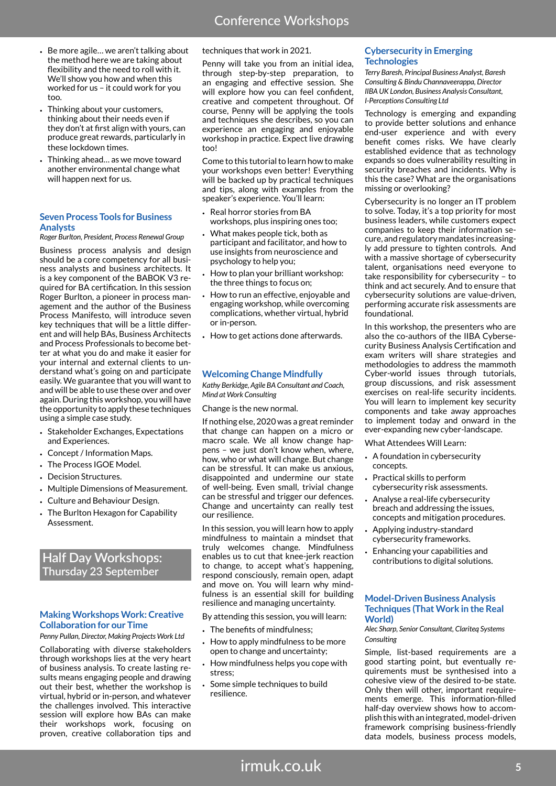- Be more agile… we aren't talking about the method here we are taking about flexibility and the need to roll with it. We'll show you how and when this worked for us – it could work for you too.
- Thinking about your customers, thinking about their needs even if they don't at first align with yours, can produce great rewards, particularly in these lockdown times.
- Thinking ahead… as we move toward another environmental change what will happen next for us.

#### **Seven Process Tools for Business Analysts**

#### *Roger Burlton, President, Process Renewal Group*

Business process analysis and design should be a core competency for all business analysts and business architects. It is a key component of the BABOK V3 required for BA certification. In this session Roger Burlton, a pioneer in process management and the author of the Business Process Manifesto, will introduce seven key techniques that will be a little different and will help BAs, Business Architects and Process Professionals to become better at what you do and make it easier for your internal and external clients to understand what's going on and participate easily. We guarantee that you will want to and will be able to use these over and over again. During this workshop, you will have the opportunity to apply these techniques using a simple case study.

- Stakeholder Exchanges, Expectations and Experiences.
- Concept / Information Maps.
- The Process IGOE Model.
- Decision Structures.
- Multiple Dimensions of Measurement.
- Culture and Behaviour Design.
- The Burlton Hexagon for Capability Assessment.

## **Half Day Workshops: Thursday 23 September**

#### **Making Workshops Work: Creative Collaboration for our Time**

*Penny Pullan, Director, Making Projects Work Ltd*

Collaborating with diverse stakeholders through workshops lies at the very heart of business analysis. To create lasting results means engaging people and drawing out their best, whether the workshop is virtual, hybrid or in-person, and whatever the challenges involved. This interactive session will explore how BAs can make their workshops work, focusing on proven, creative collaboration tips and

#### techniques that work in 2021.

Penny will take you from an initial idea, through step-by-step preparation, to an engaging and effective session. She will explore how you can feel confident. creative and competent throughout. Of course, Penny will be applying the tools and techniques she describes, so you can experience an engaging and enjoyable workshop in practice. Expect live drawing too!

Come to this tutorial to learn how to make your workshops even better! Everything will be backed up by practical techniques and tips, along with examples from the speaker's experience. You'll learn:

- Real horror stories from BA workshops, plus inspiring ones too;
- What makes people tick, both as participant and facilitator, and how to use insights from neuroscience and psychology to help you;
- How to plan your brilliant workshop: the three things to focus on;
- How to run an effective, enjoyable and engaging workshop, while overcoming complications, whether virtual, hybrid or in-person.
- How to get actions done afterwards.

#### **Welcoming Change Mindfully**

*Kathy Berkidge, Agile BA Consultant and Coach, Mind at Work Consulting*

#### Change is the new normal.

If nothing else, 2020 was a great reminder that change can happen on a micro or macro scale. We all know change happens – we just don't know when, where, how, who or what will change. But change can be stressful. It can make us anxious, disappointed and undermine our state of well-being. Even small, trivial change can be stressful and trigger our defences. Change and uncertainty can really test our resilience.

In this session, you will learn how to apply mindfulness to maintain a mindset that truly welcomes change. Mindfulness enables us to cut that knee-jerk reaction to change, to accept what's happening, respond consciously, remain open, adapt and move on. You will learn why mindfulness is an essential skill for building resilience and managing uncertainty.

By attending this session, you will learn:

- The benefits of mindfulness;
- How to apply mindfulness to be more open to change and uncertainty;
- How mindfulness helps you cope with stress;
- Some simple techniques to build resilience.

#### **Cybersecurity in Emerging Technologies**

*Terry Baresh, Principal Business Analyst, Baresh Consulting & Bindu Channaveerappa, Director IIBA UK London, Business Analysis Consultant, I-Perceptions Consulting Ltd*

Technology is emerging and expanding to provide better solutions and enhance end-user experience and with every benefit comes risks. We have clearly established evidence that as technology expands so does vulnerability resulting in security breaches and incidents. Why is this the case? What are the organisations missing or overlooking?

Cybersecurity is no longer an IT problem to solve. Today, it's a top priority for most business leaders, while customers expect companies to keep their information secure, and regulatory mandates increasingly add pressure to tighten controls. And with a massive shortage of cybersecurity talent, organisations need everyone to take responsibility for cybersecurity – to think and act securely. And to ensure that cybersecurity solutions are value-driven, performing accurate risk assessments are foundational.

In this workshop, the presenters who are also the co-authors of the IIBA Cybersecurity Business Analysis Certification and exam writers will share strategies and methodologies to address the mammoth Cyber-world issues through tutorials, group discussions, and risk assessment exercises on real-life security incidents. You will learn to implement key security components and take away approaches to implement today and onward in the ever-expanding new cyber-landscape.

What Attendees Will Learn:

- A foundation in cybersecurity concepts.
- Practical skills to perform cybersecurity risk assessments.
- Analyse a real-life cybersecurity breach and addressing the issues, concepts and mitigation procedures.
- Applying industry-standard cybersecurity frameworks.
- Enhancing your capabilities and contributions to digital solutions.

#### **Model-Driven Business Analysis Techniques (That Work in the Real World)**

#### *Alec Sharp, Senior Consultant, Clariteq Systems Consulting*

Simple, list-based requirements are a good starting point, but eventually requirements must be synthesised into a cohesive view of the desired to-be state. Only then will other, important requirements emerge. This information-filled half-day overview shows how to accomplish this with an integrated, model-driven framework comprising business-friendly data models, business process models,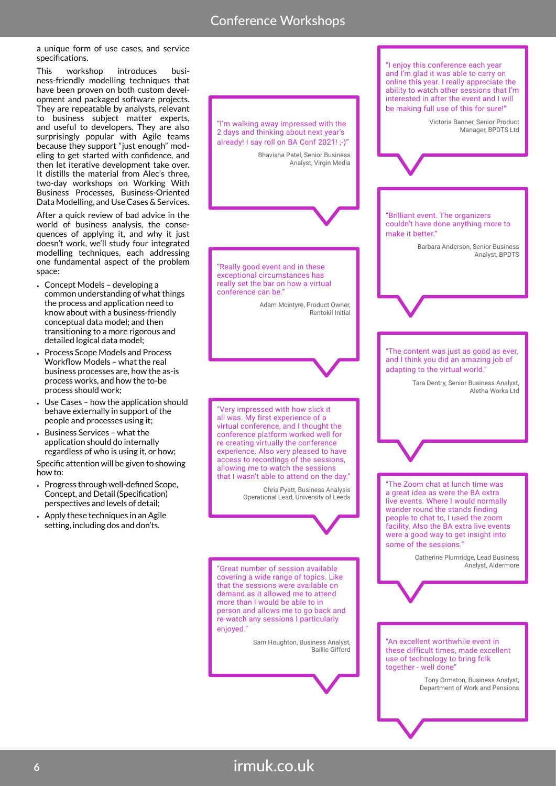a unique form of use cases, and service specifications.

This workshop introduces business-friendly modelling techniques that have been proven on both custom development and packaged software projects. They are repeatable by analysts, relevant to business subject matter experts, and useful to developers. They are also surprisingly popular with Agile teams because they support "just enough" modeling to get started with confidence, and then let iterative development take over. It distills the material from Alec's three, two-day workshops on Working With Business Processes, Business-Oriented Data Modelling, and Use Cases & Services.

After a quick review of bad advice in the world of business analysis, the consequences of applying it, and why it just doesn't work, we'll study four integrated modelling techniques, each addressing one fundamental aspect of the problem space:

- Concept Models developing a common understanding of what things the process and application need to know about with a business-friendly conceptual data model; and then transitioning to a more rigorous and detailed logical data model;
- Process Scope Models and Process Workflow Models – what the real business processes are, how the as-is process works, and how the to-be process should work;
- Use Cases how the application should behave externally in support of the people and processes using it;
- Business Services what the application should do internally regardless of who is using it, or how; Specific attention will be given to showing

how to:

- Progress through well-defined Scope, Concept, and Detail (Specification) perspectives and levels of detail;
- Apply these techniques in an Agile setting, including dos and don'ts.

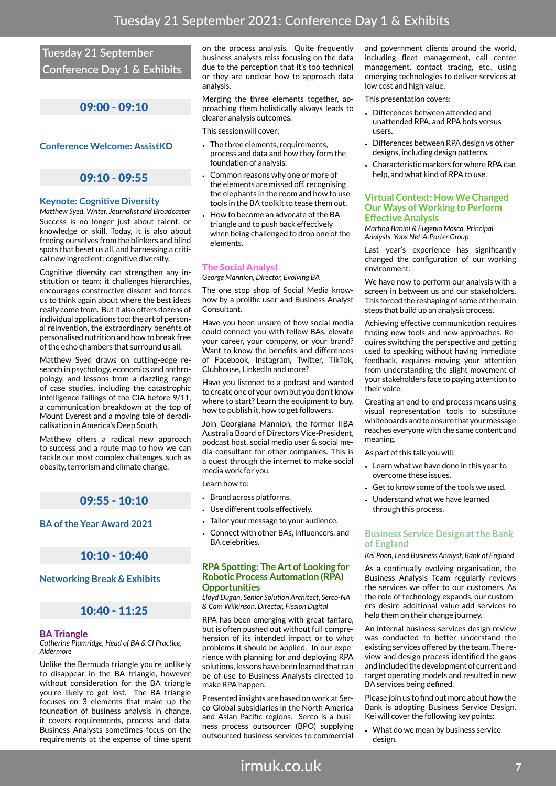## **Tuesday 21 September Conference Day 1 & Exhibits**

## 09:00 - 09:10

### **Conference Welcome: AssistKD**

## 09:10 - 09:55

#### **Keynote: Cognitive Diversity**

*Matthew Syed, Writer, Journalist and Broadcaster* Success is no longer just about talent, or knowledge or skill. Today, it is also about freeing ourselves from the blinkers and blind spots that beset us all, and harnessing a critical new ingredient: cognitive diversity.

Cognitive diversity can strengthen any institution or team; it challenges hierarchies, encourages constructive dissent and forces us to think again about where the best ideas really come from. But it also offers dozens of individual applications too: the art of personal reinvention, the extraordinary benefits of personalised nutrition and how to break free of the echo chambers that surround us all.

Matthew Syed draws on cutting-edge research in psychology, economics and anthropology, and lessons from a dazzling range of case studies, including the catastrophic intelligence failings of the CIA before 9/11, a communication breakdown at the top of Mount Everest and a moving tale of deradicalisation in America's Deep South.

Matthew offers a radical new approach to success and a route map to how we can tackle our most complex challenges, such as obesity, terrorism and climate change.

## 09:55 - 10:10

#### **BA of the Year Award 2021**

### 10:10 - 10:40

#### **Networking Break & Exhibits**

## 10:40 - 11:25

#### **BA Triangle**

*Catherine Plumridge, Head of BA & CI Practice, Aldermore*

Unlike the Bermuda triangle you're unlikely to disappear in the BA triangle, however without consideration for the BA triangle you're likely to get lost. The BA triangle focuses on 3 elements that make up the foundation of business analysis in change, it covers requirements, process and data. Business Analysts sometimes focus on the requirements at the expense of time spent

on the process analysis. Quite frequently business analysts miss focusing on the data due to the perception that it's too technical or they are unclear how to approach data analysis.

Merging the three elements together, approaching them holistically always leads to clearer analysis outcomes.

This session will cover:

- The three elements, requirements, process and data and how they form the foundation of analysis.
- Common reasons why one or more of the elements are missed off, recognising the elephants in the room and how to use tools in the BA toolkit to tease them out.
- How to become an advocate of the BA triangle and to push back effectively when being challenged to drop one of the elements.

### **The Social Analyst**

*George Mannion, Director, Evolving BA*

The one stop shop of Social Media knowhow by a prolific user and Business Analyst Consultant.

Have you been unsure of how social media could connect you with fellow BAs, elevate your career, your company, or your brand? Want to know the benefits and differences of Facebook, Instagram, Twitter, TikTok, Clubhouse, LinkedIn and more?

Have you listened to a podcast and wanted to create one of your own but you don't know where to start? Learn the equipment to buy, how to publish it, how to get followers.

Join Georgiana Mannion, the former IIBA Australia Board of Directors Vice-President, podcast host, social media user & social media consultant for other companies. This is a quest through the internet to make social media work for you.

Learn how to:

- Brand across platforms.
- Use different tools effectively.
- Tailor your message to your audience.
- Connect with other BAs, influencers, and BA celebrities.

#### **RPA Spotting: The Art of Looking for Robotic Process Automation (RPA) Opportunities**

*Lloyd Dugan, Senior Solution Architect, Serco-NA & Cam Wilkinson, Director, Fission Digital*

RPA has been emerging with great fanfare, but is often pushed out without full comprehension of its intended impact or to what problems it should be applied. In our experience with planning for and deploying RPA solutions, lessons have been learned that can be of use to Business Analysts directed to make RPA happen.

Presented insights are based on work at Serco-Global subsidiaries in the North America and Asian-Pacific regions. Serco is a business process outsourcer (BPO) supplying outsourced business services to commercial

and government clients around the world, including fleet management, call center management, contact tracing, etc., using emerging technologies to deliver services at low cost and high value.

This presentation covers:

- Differences between attended and unattended RPA, and RPA bots versus users.
- Differences between RPA design vs other designs, including design patterns.
- Characteristic markers for where RPA can help, and what kind of RPA to use.

#### **Virtual Context: How We Changed Our Ways of Working to Perform Effective Analysis**

*Martina Babini & Eugenio Mosca, Principal Analysts, Yoox Net-A-Porter Group*

Last year's experience has significantly changed the configuration of our working environment.

We have now to perform our analysis with a screen in between us and our stakeholders. This forced the reshaping of some of the main steps that build up an analysis process.

Achieving effective communication requires finding new tools and new approaches. Requires switching the perspective and getting used to speaking without having immediate feedback, requires moving your attention from understanding the slight movement of your stakeholders face to paying attention to their voice.

Creating an end-to-end process means using visual representation tools to substitute whiteboards and to ensure that your message reaches everyone with the same content and meaning.

As part of this talk you will:

- Learn what we have done in this year to overcome these issues.
- Get to know some of the tools we used.
- Understand what we have learned through this process.

#### **Business Service Design at the Bank of England**

*Kei Poon, Lead Business Analyst, Bank of England*

As a continually evolving organisation, the Business Analysis Team regularly reviews the services we offer to our customers. As the role of technology expands, our customers desire additional value-add services to help them on their change journey.

An internal business services design review was conducted to better understand the existing services offered by the team. The review and design process identified the gaps and included the development of current and target operating models and resulted in new BA services being defined.

Please join us to find out more about how the Bank is adopting Business Service Design. Kei will cover the following key points:

• What do we mean by business service design.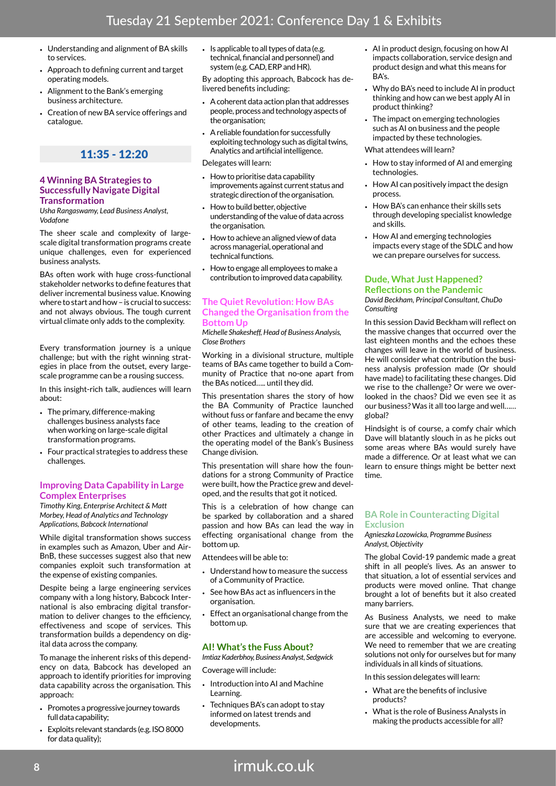- Understanding and alignment of BA skills to services.
- Approach to defining current and target operating models.
- Alignment to the Bank's emerging business architecture.
- Creation of new BA service offerings and catalogue.

## 11:35 - 12:20

#### **4 Winning BA Strategies to Successfully Navigate Digital Transformation**

*Usha Rangaswamy, Lead Business Analyst, Vodafone* 

The sheer scale and complexity of largescale digital transformation programs create unique challenges, even for experienced business analysts.

BAs often work with huge cross-functional stakeholder networks to define features that deliver incremental business value. Knowing where to start and how – is crucial to success: and not always obvious. The tough current virtual climate only adds to the complexity.

Every transformation journey is a unique challenge; but with the right winning strategies in place from the outset, every largescale programme can be a rousing success.

In this insight-rich talk, audiences will learn about:

- The primary, difference-making challenges business analysts face when working on large-scale digital transformation programs.
- Four practical strategies to address these challenges.

#### **Improving Data Capability in Large Complex Enterprises**

*Timothy King, Enterprise Architect & Matt Morbey, Head of Analytics and Technology Applications, Babcock International*

While digital transformation shows success in examples such as Amazon, Uber and Air-BnB, these successes suggest also that new companies exploit such transformation at the expense of existing companies.

Despite being a large engineering services company with a long history, Babcock International is also embracing digital transformation to deliver changes to the efficiency, effectiveness and scope of services. This transformation builds a dependency on digital data across the company.

To manage the inherent risks of this dependency on data, Babcock has developed an approach to identify priorities for improving data capability across the organisation. This approach:

- Promotes a progressive journey towards full data capability;
- Exploits relevant standards (e.g. ISO 8000 for data quality);

• Is applicable to all types of data (e.g. technical, financial and personnel) and system (e.g. CAD, ERP and HR).

By adopting this approach, Babcock has delivered benefits including:

- A coherent data action plan that addresses people, process and technology aspects of the organisation;
- A reliable foundation for successfully exploiting technology such as digital twins, Analytics and artificial intelligence.

Delegates will learn:

- How to prioritise data capability improvements against current status and strategic direction of the organisation.
- How to build better, objective understanding of the value of data across the organisation.
- How to achieve an aligned view of data across managerial, operational and technical functions.
- How to engage all employees to make a contribution to improved data capability.

#### **The Quiet Revolution: How BAs Changed the Organisation from the Bottom Up**

*Michelle Shakesheff, Head of Business Analysis, Close Brothers*

Working in a divisional structure, multiple teams of BAs came together to build a Community of Practice that no-one apart from the BAs noticed….. until they did.

This presentation shares the story of how the BA Community of Practice launched without fuss or fanfare and became the envy of other teams, leading to the creation of other Practices and ultimately a change in the operating model of the Bank's Business Change division.

This presentation will share how the foundations for a strong Community of Practice were built, how the Practice grew and developed, and the results that got it noticed.

This is a celebration of how change can be sparked by collaboration and a shared passion and how BAs can lead the way in effecting organisational change from the bottom up.

Attendees will be able to:

- Understand how to measure the success of a Community of Practice.
- See how BAs act as influencers in the organisation.
- Effect an organisational change from the bottom up.

#### **AI! What's the Fuss About?**

*Imtiaz Kaderbhoy, Business Analyst, Sedgwick* Coverage will include:

- Introduction into AI and Machine Learning.
- Techniques BA's can adopt to stay informed on latest trends and developments.
- AI in product design, focusing on how AI impacts collaboration, service design and product design and what this means for BA's.
- Why do BA's need to include AI in product thinking and how can we best apply AI in product thinking?
- The impact on emerging technologies such as AI on business and the people impacted by these technologies.

What attendees will learn?

- How to stay informed of AI and emerging technologies.
- How AI can positively impact the design process.
- How BA's can enhance their skills sets through developing specialist knowledge and skills.
- How AI and emerging technologies impacts every stage of the SDLC and how we can prepare ourselves for success.

#### **Dude, What Just Happened? Reflections on the Pandemic**

*David Beckham, Principal Consultant, ChuDo Consulting*

In this session David Beckham will reflect on the massive changes that occurred over the last eighteen months and the echoes these changes will leave in the world of business. He will consider what contribution the business analysis profession made (Or should have made) to facilitating these changes. Did we rise to the challenge? Or were we overlooked in the chaos? Did we even see it as our business? Was it all too large and well…… global?

Hindsight is of course, a comfy chair which Dave will blatantly slouch in as he picks out some areas where BAs would surely have made a difference. Or at least what we can learn to ensure things might be better next time.

#### **BA Role in Counteracting Digital Exclusion**

*Agnieszka Lozowicka, Programme Business Analyst, Objectivity*

The global Covid-19 pandemic made a great shift in all people's lives. As an answer to that situation, a lot of essential services and products were moved online. That change brought a lot of benefits but it also created many barriers.

As Business Analysts, we need to make sure that we are creating experiences that are accessible and welcoming to everyone. We need to remember that we are creating solutions not only for ourselves but for many individuals in all kinds of situations.

In this session delegates will learn:

- What are the benefits of inclusive products?
- What is the role of Business Analysts in making the products accessible for all?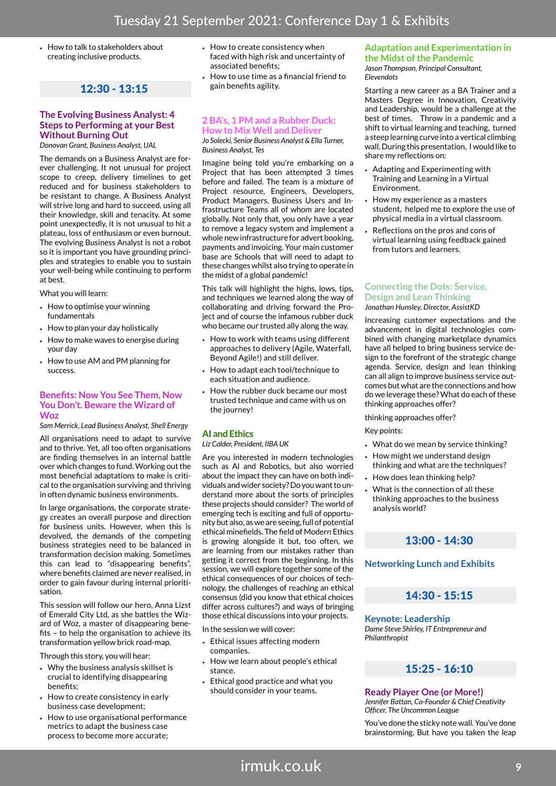• How to talk to stakeholders about creating inclusive products.

## 12:30 - 13:15

#### **The Evolving Business Analyst: 4 Steps to Performing at your Best Without Burning Out**

*Donovan Grant, Business Analyst, UAL*

The demands on a Business Analyst are forever challenging. It not unusual for project scope to creep, delivery timelines to get reduced and for business stakeholders to be resistant to change. A Business Analyst will strive long and hard to succeed, using all their knowledge, skill and tenacity. At some point unexpectedly, it is not unusual to hit a plateau, loss of enthusiasm or even burnout. The evolving Business Analyst is not a robot so it is important you have grounding principles and strategies to enable you to sustain your well-being while continuing to perform at best.

What you will learn:

- How to optimise your winning fundamentals
- How to plan your day holistically
- How to make waves to energise during your day
- How to use AM and PM planning for success.

#### **Benefits: Now You See Them, Now You Don't. Beware the Wizard of Woz**

*Sam Merrick, Lead Business Analyst, Shell Energy*

All organisations need to adapt to survive and to thrive. Yet, all too often organisations are finding themselves in an internal battle over which changes to fund. Working out the most beneficial adaptations to make is critical to the organisation surviving and thriving in often dynamic business environments.

In large organisations, the corporate strategy creates an overall purpose and direction for business units. However, when this is devolved, the demands of the competing business strategies need to be balanced in transformation decision making. Sometimes this can lead to "disappearing benefits", where benefits claimed are never realised, in order to gain favour during internal prioritisation.

This session will follow our hero, Anna Lizst of Emerald City Ltd, as she battles the Wizard of Woz, a master of disappearing benefits – to help the organisation to achieve its transformation yellow brick road-map.

Through this story, you will hear:

- Why the business analysis skillset is crucial to identifying disappearing benefits;
- How to create consistency in early business case development;
- How to use organisational performance metrics to adapt the business case process to become more accurate;
- How to create consistency when faced with high risk and uncertainty of associated benefits;
- How to use time as a financial friend to gain benefits agility.

## **2 BA's, 1 PM and a Rubber Duck: How to Mix Well and Deliver**

*Jo Solecki, Senior Business Analyst & Ella Turner, Business Analyst, Tes*

Imagine being told you're embarking on a Project that has been attempted 3 times before and failed. The team is a mixture of Project resource, Engineers, Developers, Product Managers, Business Users and Infrastructure Teams all of whom are located globally. Not only that, you only have a year to remove a legacy system and implement a whole new infrastructure for advert booking, payments and invoicing. Your main customer base are Schools that will need to adapt to these changes whilst also trying to operate in the midst of a global pandemic!

This talk will highlight the highs, lows, tips, and techniques we learned along the way of collaborating and driving forward the Project and of course the infamous rubber duck who became our trusted ally along the way.

- How to work with teams using different approaches to delivery (Agile, Waterfall, Beyond Agile!) and still deliver.
- How to adapt each tool/technique to each situation and audience.
- How the rubber duck became our most trusted technique and came with us on the journey!

## **AI and Ethics**

*Liz Calder, President, IIBA UK*

Are you interested in modern technologies such as AI and Robotics, but also worried about the impact they can have on both individuals and wider society? Do you want to understand more about the sorts of principles these projects should consider? The world of emerging tech is exciting and full of opportunity but also, as we are seeing, full of potential ethical minefields. The field of Modern Ethics is growing alongside it but, too often, we are learning from our mistakes rather than getting it correct from the beginning. In this session, we will explore together some of the ethical consequences of our choices of technology, the challenges of reaching an ethical consensus (did you know that ethical choices differ across cultures?) and ways of bringing those ethical discussions into your projects.

In the session we will cover:

- Ethical issues affecting modern companies.
- How we learn about people's ethical stance.
- Ethical good practice and what you should consider in your teams.

## **Adaptation and Experimentation in the Midst of the Pandemic**

*Jason Thompson, Principal Consultant, Elevendots*

Starting a new career as a BA Trainer and a Masters Degree in Innovation, Creativity and Leadership, would be a challenge at the best of times. Throw in a pandemic and a shift to virtual learning and teaching, turned a steep learning curve into a vertical climbing wall. During this presentation, I would like to share my reflections on:

- Adapting and Experimenting with Training and Learning in a Virtual Environment.
- How my experience as a masters student, helped me to explore the use of physical media in a virtual classroom.
- Reflections on the pros and cons of virtual learning using feedback gained from tutors and learners.

#### **Connecting the Dots: Service, Design and Lean Thinking** *Jonathan Hunsley, Director, AssistKD*

Increasing customer expectations and the advancement in digital technologies combined with changing marketplace dynamics have all helped to bring business service design to the forefront of the strategic change agenda. Service, design and lean thinking can all align to improve business service outcomes but what are the connections and how do we leverage these? What do each of these thinking approaches offer?

#### thinking approaches offer?

Key points:

- What do we mean by service thinking?
- How might we understand design thinking and what are the techniques?
- How does lean thinking help?
- What is the connection of all these thinking approaches to the business analysis world?

## 13:00 - 14:30

**Networking Lunch and Exhibits**

## 14:30 - 15:15

**Keynote: Leadership**

*Dame Steve Shirley, IT Entrepreneur and Philanthropist*

## 15:25 - 16:10

## **Ready Player One (or More!)**

*Jennifer Battan, Co-Founder & Chief Creativity Officer, The Uncommon League*

You've done the sticky note wall. You've done brainstorming. But have you taken the leap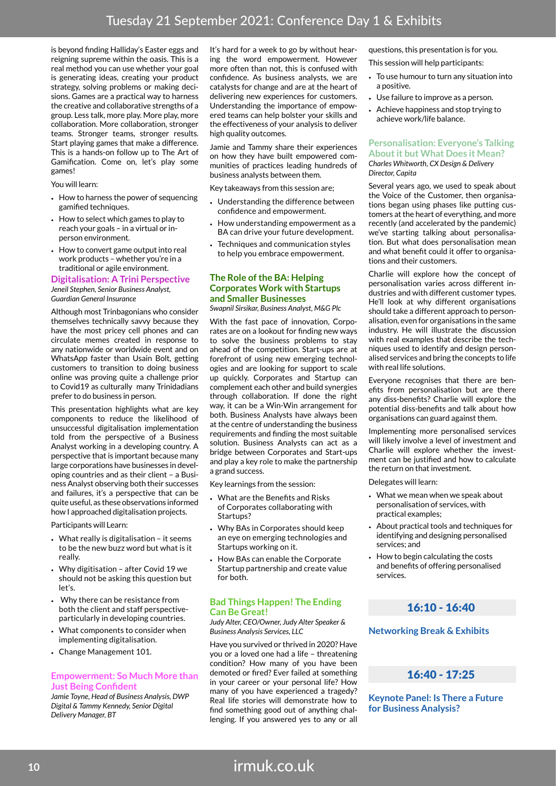is beyond finding Halliday's Easter eggs and reigning supreme within the oasis. This is a real method you can use whether your goal is generating ideas, creating your product strategy, solving problems or making decisions. Games are a practical way to harness the creative and collaborative strengths of a group. Less talk, more play. More play, more collaboration. More collaboration, stronger teams. Stronger teams, stronger results. Start playing games that make a difference. This is a hands-on follow up to The Art of Gamification. Come on, let's play some games!

You will learn:

- How to harness the power of sequencing gamified techniques.
- How to select which games to play to reach your goals – in a virtual or inperson environment.
- How to convert game output into real work products – whether you're in a traditional or agile environment.

#### **Digitalisation: A Trini Perspective** *Jeneil Stephen, Senior Business Analyst,*

*Guardian General Insurance*

Although most Trinbagonians who consider themselves technically savvy because they have the most pricey cell phones and can circulate memes created in response to any nationwide or worldwide event and on WhatsApp faster than Usain Bolt, getting customers to transition to doing business online was proving quite a challenge prior to Covid19 as culturally many Trinidadians prefer to do business in person.

This presentation highlights what are key components to reduce the likelihood of unsuccessful digitalisation implementation told from the perspective of a Business Analyst working in a developing country. A perspective that is important because many large corporations have businesses in developing countries and as their client – a Business Analyst observing both their successes and failures, it's a perspective that can be quite useful, as these observations informed how I approached digitalisation projects.

Participants will Learn:

- What really is digitalisation it seems to be the new buzz word but what is it really.
- Why digitisation after Covid 19 we should not be asking this question but let's.
- Why there can be resistance from both the client and staff perspectiveparticularly in developing countries.
- What components to consider when implementing digitalisation.
- Change Management 101.

#### **Empowerment: So Much More than Just Being Confident**

*Jamie Toyne, Head of Business Analysis, DWP Digital & Tammy Kennedy, Senior Digital Delivery Manager, BT*

It's hard for a week to go by without hearing the word empowerment. However more often than not, this is confused with confidence. As business analysts, we are catalysts for change and are at the heart of delivering new experiences for customers. Understanding the importance of empowered teams can help bolster your skills and the effectiveness of your analysis to deliver high quality outcomes.

Jamie and Tammy share their experiences on how they have built empowered communities of practices leading hundreds of business analysts between them.

Key takeaways from this session are;

- Understanding the difference between confidence and empowerment.
- How understanding empowerment as a BA can drive your future development.
- Techniques and communication styles to help you embrace empowerment.

#### **The Role of the BA: Helping Corporates Work with Startups and Smaller Businesses**

*Swapnil Sirsikar, Business Analyst, M&G Plc*

With the fast pace of innovation, Corporates are on a lookout for finding new ways to solve the business problems to stay ahead of the competition. Start-ups are at forefront of using new emerging technologies and are looking for support to scale up quickly. Corporates and Startup can complement each other and build synergies through collaboration. If done the right way, it can be a Win-Win arrangement for both. Business Analysts have always been at the centre of understanding the business requirements and finding the most suitable solution. Business Analysts can act as a bridge between Corporates and Start-ups and play a key role to make the partnership a grand success.

Key learnings from the session:

- What are the Benefits and Risks of Corporates collaborating with Startups?
- Why BAs in Corporates should keep an eye on emerging technologies and Startups working on it.
- How BAs can enable the Corporate Startup partnership and create value for both.

#### **Bad Things Happen! The Ending Can Be Great!**

*Judy Alter, CEO/Owner, Judy Alter Speaker & Business Analysis Services, LLC*

Have you survived or thrived in 2020? Have you or a loved one had a life – threatening condition? How many of you have been demoted or fired? Ever failed at something in your career or your personal life? How many of you have experienced a tragedy? Real life stories will demonstrate how to find something good out of anything challenging. If you answered yes to any or all

questions, this presentation is for you.

This session will help participants:

- To use humour to turn any situation into a positive.
- Use failure to improve as a person.
- Achieve happiness and stop trying to achieve work/life balance.

#### **Personalisation: Everyone's Talking About it but What Does it Mean?** *Charles Whitworth, CX Design & Delivery*

*Director, Capita*

Several years ago, we used to speak about the Voice of the Customer, then organisations began using phases like putting customers at the heart of everything, and more recently (and accelerated by the pandemic) we've starting talking about personalisation. But what does personalisation mean and what benefit could it offer to organisations and their customers.

Charlie will explore how the concept of personalisation varies across different industries and with different customer types. He'll look at why different organisations should take a different approach to personalisation, even for organisations in the same industry. He will illustrate the discussion with real examples that describe the techniques used to identify and design personalised services and bring the concepts to life with real life solutions.

Everyone recognises that there are benefits from personalisation but are there any diss-benefits? Charlie will explore the potential diss-benefits and talk about how organisations can guard against them.

Implementing more personalised services will likely involve a level of investment and Charlie will explore whether the investment can be justified and how to calculate the return on that investment.

Delegates will learn:

- What we mean when we speak about personalisation of services, with practical examples;
- About practical tools and techniques for identifying and designing personalised services; and
- How to begin calculating the costs and benefits of offering personalised services.

## 16:10 - 16:40

#### **Networking Break & Exhibits**

## 16:40 - 17:25

**Keynote Panel: Is There a Future for Business Analysis?**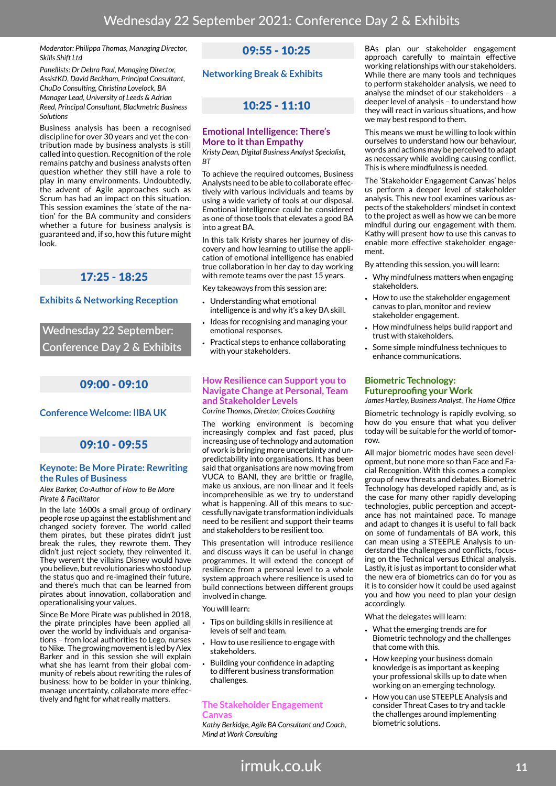*Moderator: Philippa Thomas, Managing Director, Skills Shift Ltd* 

*Panellists: Dr Debra Paul, Managing Director, AssistKD, David Beckham, Principal Consultant, ChuDo Consulting, Christina Lovelock, BA Manager Lead, University of Leeds & Adrian Reed, Principal Consultant, Blackmetric Business Solutions*

Business analysis has been a recognised discipline for over 30 years and yet the contribution made by business analysts is still called into question. Recognition of the role remains patchy and business analysts often question whether they still have a role to play in many environments. Undoubtedly, the advent of Agile approaches such as Scrum has had an impact on this situation. This session examines the 'state of the nation' for the BA community and considers whether a future for business analysis is guaranteed and, if so, how this future might look.

## 17:25 - 18:25

#### **Exhibits & Networking Reception**

**Wednesday 22 September: Conference Day 2 & Exhibits**

## 09:00 - 09:10

### **Conference Welcome: IIBA UK**

## 09:10 - 09:55

#### **Keynote: Be More Pirate: Rewriting the Rules of Business**

*Alex Barker, Co-Author of How to Be More Pirate & Facilitator*

In the late 1600s a small group of ordinary people rose up against the establishment and changed society forever. The world called them pirates, but these pirates didn't just break the rules, they rewrote them. They didn't just reject society, they reinvented it. They weren't the villains Disney would have you believe, but revolutionaries who stood up the status quo and re-imagined their future, and there's much that can be learned from pirates about innovation, collaboration and operationalising your values.

Since Be More Pirate was published in 2018, the pirate principles have been applied all over the world by individuals and organisations – from local authorities to Lego, nurses to Nike. The growing movement is led by Alex Barker and in this session she will explain what she has learnt from their global community of rebels about rewriting the rules of business: how to be bolder in your thinking, manage uncertainty, collaborate more effectively and fight for what really matters.

## 09:55 - 10:25

**Networking Break & Exhibits**

## 10:25 - 11:10

#### **Emotional Intelligence: There's More to it than Empathy**

*Kristy Dean, Digital Business Analyst Specialist, BT*

To achieve the required outcomes, Business Analysts need to be able to collaborate effectively with various individuals and teams by using a wide variety of tools at our disposal. Emotional intelligence could be considered as one of those tools that elevates a good BA into a great BA.

In this talk Kristy shares her journey of discovery and how learning to utilise the application of emotional intelligence has enabled true collaboration in her day to day working with remote teams over the past 15 years.

Key takeaways from this session are:

- Understanding what emotional intelligence is and why it's a key BA skill.
- Ideas for recognising and managing your emotional responses.
- Practical steps to enhance collaborating with your stakeholders.

### **How Resilience can Support you to Navigate Change at Personal, Team and Stakeholder Levels**

*Corrine Thomas, Director, Choices Coaching*

The working environment is becoming increasingly complex and fast paced, plus increasing use of technology and automation of work is bringing more uncertainty and unpredictability into organisations. It has been said that organisations are now moving from VUCA to BANI, they are brittle or fragile, make us anxious, are non-linear and it feels incomprehensible as we try to understand what is happening. All of this means to successfully navigate transformation individuals need to be resilient and support their teams and stakeholders to be resilient too.

This presentation will introduce resilience and discuss ways it can be useful in change programmes. It will extend the concept of resilience from a personal level to a whole system approach where resilience is used to build connections between different groups involved in change.

You will learn:

- Tips on building skills in resilience at levels of self and team.
- How to use resilience to engage with stakeholders.
- Building your confidence in adapting to different business transformation challenges.

#### **The Stakeholder Engagement**  Canva

*Kathy Berkidge, Agile BA Consultant and Coach, Mind at Work Consulting*

BAs plan our stakeholder engagement approach carefully to maintain effective working relationships with our stakeholders. While there are many tools and techniques to perform stakeholder analysis, we need to analyse the mindset of our stakeholders – a deeper level of analysis – to understand how they will react in various situations, and how we may best respond to them.

This means we must be willing to look within ourselves to understand how our behaviour, words and actions may be perceived to adapt as necessary while avoiding causing conflict. This is where mindfulness is needed.

The 'Stakeholder Engagement Canvas' helps us perform a deeper level of stakeholder analysis. This new tool examines various aspects of the stakeholders' mindset in context to the project as well as how we can be more mindful during our engagement with them. Kathy will present how to use this canvas to enable more effective stakeholder engagement.

By attending this session, you will learn:

- Why mindfulness matters when engaging stakeholders.
- How to use the stakeholder engagement canvas to plan, monitor and review stakeholder engagement.
- How mindfulness helps build rapport and trust with stakeholders.
- Some simple mindfulness techniques to enhance communications.

#### **Biometric Technology: Futureproofing your Work**

*James Hartley, Business Analyst, The Home Office*

Biometric technology is rapidly evolving, so how do you ensure that what you deliver today will be suitable for the world of tomorrow.

All major biometric modes have seen development, but none more so than Face and Facial Recognition. With this comes a complex group of new threats and debates. Biometric Technology has developed rapidly and, as is the case for many other rapidly developing technologies, public perception and acceptance has not maintained pace. To manage and adapt to changes it is useful to fall back on some of fundamentals of BA work, this can mean using a STEEPLE Analysis to understand the challenges and conflicts, focusing on the Technical versus Ethical analysis. Lastly, it is just as important to consider what the new era of biometrics can do for you as it is to consider how it could be used against you and how you need to plan your design accordingly.

What the delegates will learn:

- What the emerging trends are for Biometric technology and the challenges that come with this.
- How keeping your business domain knowledge is as important as keeping your professional skills up to date when working on an emerging technology.
- How you can use STEEPLE Analysis and consider Threat Cases to try and tackle the challenges around implementing biometric solutions.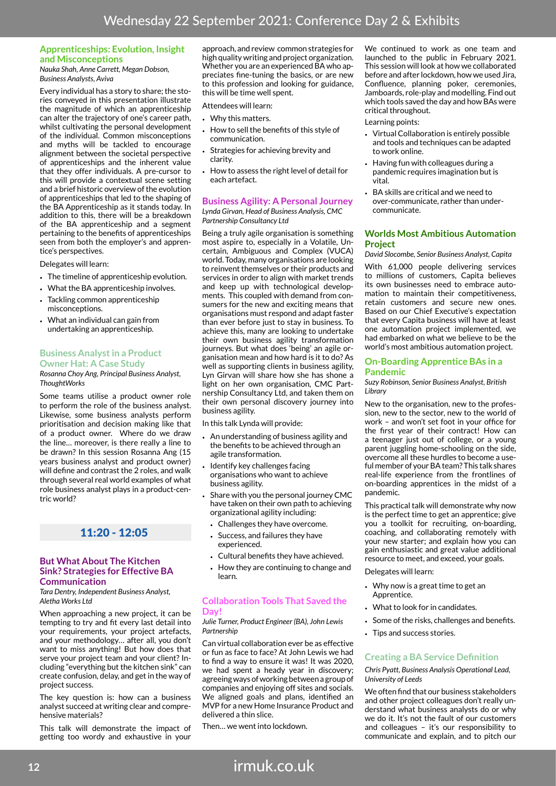#### **Apprenticeships: Evolution, Insight and Misconceptions**

*Nauka Shah, Anne Carrett, Megan Dobson, Business Analysts, Aviva*

Every individual has a story to share; the stories conveyed in this presentation illustrate the magnitude of which an apprenticeship can alter the trajectory of one's career path, whilst cultivating the personal development of the individual. Common misconceptions and myths will be tackled to encourage alignment between the societal perspective of apprenticeships and the inherent value that they offer individuals. A pre-cursor to this will provide a contextual scene setting and a brief historic overview of the evolution of apprenticeships that led to the shaping of the BA Apprenticeship as it stands today. In addition to this, there will be a breakdown of the BA apprenticeship and a segment pertaining to the benefits of apprenticeships seen from both the employer's and apprentice's perspectives.

Delegates will learn:

- The timeline of apprenticeship evolution.
- What the BA apprenticeship involves.
- Tackling common apprenticeship misconceptions.
- What an individual can gain from undertaking an apprenticeship.

#### **Business Analyst in a Product Owner Hat: A Case Study**

*Rosanna Choy Ang, Principal Business Analyst, ThoughtWorks*

Some teams utilise a product owner role to perform the role of the business analyst. Likewise, some business analysts perform prioritisation and decision making like that of a product owner. Where do we draw the line… moreover, is there really a line to be drawn? In this session Rosanna Ang (15 years business analyst and product owner) will define and contrast the 2 roles, and walk through several real world examples of what role business analyst plays in a product-centric world?

## 11:20 - 12:05

#### **But What About The Kitchen Sink? Strategies for Effective BA Communication**

*Tara Dentry, Independent Business Analyst, Aletha Works Ltd*

When approaching a new project, it can be tempting to try and fit every last detail into your requirements, your project artefacts, and your methodology… after all, you don't want to miss anything! But how does that serve your project team and your client? Including "everything but the kitchen sink" can create confusion, delay, and get in the way of project success.

The key question is: how can a business analyst succeed at writing clear and comprehensive materials?

This talk will demonstrate the impact of getting too wordy and exhaustive in your approach, and review common strategies for high quality writing and project organization. Whether you are an experienced BA who appreciates fine-tuning the basics, or are new to this profession and looking for guidance, this will be time well spent.

Attendees will learn:

- Why this matters.
- How to sell the benefits of this style of communication.
- Strategies for achieving brevity and clarity.
- How to assess the right level of detail for each artefact.

**Business Agility: A Personal Journey** *Lynda Girvan, Head of Business Analysis, CMC Partnership Consultancy Ltd*

Being a truly agile organisation is something most aspire to, especially in a Volatile, Uncertain, Ambiguous and Complex (VUCA) world. Today, many organisations are looking to reinvent themselves or their products and services in order to align with market trends and keep up with technological developments. This coupled with demand from consumers for the new and exciting means that organisations must respond and adapt faster than ever before just to stay in business. To achieve this, many are looking to undertake their own business agility transformation journeys. But what does 'being' an agile organisation mean and how hard is it to do? As well as supporting clients in business agility, Lyn Girvan will share how she has shone a light on her own organisation, CMC Partnership Consultancy Ltd, and taken them on their own personal discovery journey into business agility.

In this talk Lynda will provide:

- An understanding of business agility and the benefits to be achieved through an agile transformation.
- Identify key challenges facing organisations who want to achieve business agility.
- Share with you the personal journey CMC have taken on their own path to achieving organizational agility including:
	- Challenges they have overcome.
	- Success, and failures they have experienced.
	- Cultural benefits they have achieved.
	- How they are continuing to change and learn.

#### **Collaboration Tools That Saved the Day!**

*Julie Turner, Product Engineer (BA), John Lewis Partnership*

Can virtual collaboration ever be as effective or fun as face to face? At John Lewis we had to find a way to ensure it was! It was 2020, we had spent a heady year in discovery; agreeing ways of working between a group of companies and enjoying off sites and socials. We aligned goals and plans, identified an MVP for a new Home Insurance Product and delivered a thin slice.

Then… we went into lockdown.

We continued to work as one team and launched to the public in February 2021. This session will look at how we collaborated before and after lockdown, how we used Jira, Confluence, planning poker, ceremonies, Jamboards, role-play and modelling. Find out which tools saved the day and how BAs were critical throughout.

#### Learning points:

- Virtual Collaboration is entirely possible and tools and techniques can be adapted to work online.
- Having fun with colleagues during a pandemic requires imagination but is vital.
- BA skills are critical and we need to over-communicate, rather than undercommunicate.

#### **Worlds Most Ambitious Automation Project**

*David Slocombe, Senior Business Analyst, Capita*

With 61,000 people delivering services to millions of customers, Capita believes its own businesses need to embrace automation to maintain their competitiveness, retain customers and secure new ones. Based on our Chief Executive's expectation that every Capita business will have at least one automation project implemented, we had embarked on what we believe to be the world's most ambitious automation project.

#### **On-Boarding Apprentice BAs in a Pandemic**

*Suzy Robinson, Senior Business Analyst, British Library*

New to the organisation, new to the profession, new to the sector, new to the world of work – and won't set foot in your office for the first year of their contract! How can a teenager just out of college, or a young parent juggling home-schooling on the side, overcome all these hurdles to become a useful member of your BA team? This talk shares real-life experience from the frontlines of on-boarding apprentices in the midst of a pandemic.

This practical talk will demonstrate why now is the perfect time to get an apprentice; give you a toolkit for recruiting, on-boarding, coaching, and collaborating remotely with your new starter; and explain how you can gain enthusiastic and great value additional resource to meet, and exceed, your goals.

Delegates will learn:

- Why now is a great time to get an Apprentice.
- What to look for in candidates.
- Some of the risks, challenges and benefits.
- Tips and success stories.

#### **Creating a BA Service Definition**

*Chris Pyatt, Business Analysis Operational Lead, University of Leeds*

We often find that our business stakeholders and other project colleagues don't really understand what business analysts do or why we do it. It's not the fault of our customers and colleagues – it's our responsibility to communicate and explain, and to pitch our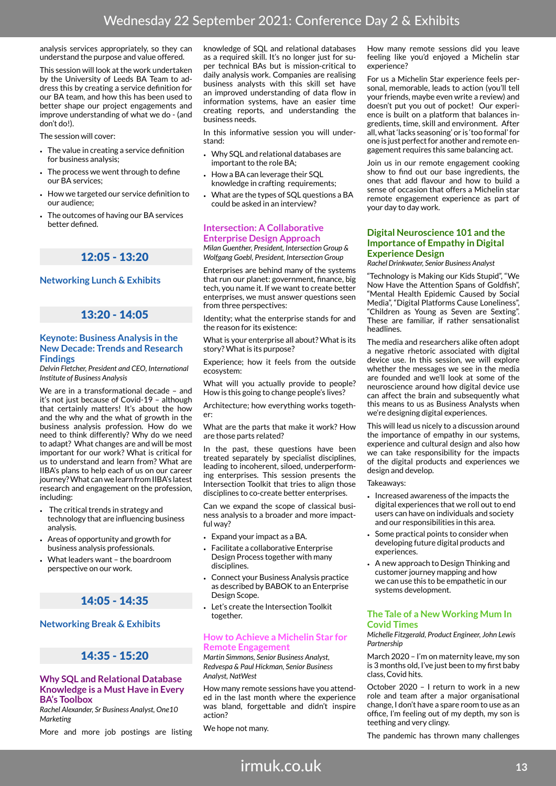analysis services appropriately, so they can understand the purpose and value offered.

This session will look at the work undertaken by the University of Leeds BA Team to address this by creating a service definition for our BA team, and how this has been used to better shape our project engagements and improve understanding of what we do - (and don't do!).

The session will cover:

- The value in creating a service definition for business analysis;
- The process we went through to define our BA services;
- How we targeted our service definition to our audience;
- The outcomes of having our BA services better defined.

## 12:05 - 13:20

### **Networking Lunch & Exhibits**

## 13:20 - 14:05

#### **Keynote: Business Analysis in the New Decade: Trends and Research Findings**

*Delvin Fletcher, President and CEO, International Institute of Business Analysis*

We are in a transformational decade – and it's not just because of Covid-19 – although that certainly matters! It's about the how and the why and the what of growth in the business analysis profession. How do we need to think differently? Why do we need to adapt? What changes are and will be most important for our work? What is critical for us to understand and learn from? What are IIBA's plans to help each of us on our career journey? What can we learn from IIBA's latest research and engagement on the profession, including:

- The critical trends in strategy and technology that are influencing business analysis.
- Areas of opportunity and growth for business analysis professionals.
- What leaders want the boardroom perspective on our work.

## 14:05 - 14:35

#### **Networking Break & Exhibits**

## 14:35 - 15:20

#### **Why SQL and Relational Database Knowledge is a Must Have in Every BA's Toolbox**

*Rachel Alexander, Sr Business Analyst, One10 Marketing*

More and more job postings are listing

knowledge of SQL and relational databases as a required skill. It's no longer just for super technical BAs but is mission-critical to daily analysis work. Companies are realising business analysts with this skill set have an improved understanding of data flow in information systems, have an easier time creating reports, and understanding the business needs.

In this informative session you will understand:

- Why SQL and relational databases are important to the role BA;
- How a BA can leverage their SQL knowledge in crafting requirements;
- What are the types of SQL questions a BA could be asked in an interview?

#### **Intersection: A Collaborative Enterprise Design Approach**

*Milan Guenther, President, Intersection Group & Wolfgang Goebl, President, Intersection Group*

Enterprises are behind many of the systems that run our planet: government, finance, big tech, you name it. If we want to create better enterprises, we must answer questions seen from three perspectives:

Identity; what the enterprise stands for and the reason for its existence:

What is your enterprise all about? What is its story? What is its purpose?

Experience; how it feels from the outside ecosystem:

What will you actually provide to people? How is this going to change people's lives?

Architecture; how everything works together:

What are the parts that make it work? How are those parts related?

In the past, these questions have been treated separately by specialist disciplines, leading to incoherent, siloed, underperforming enterprises. This session presents the Intersection Toolkit that tries to align those disciplines to co-create better enterprises.

Can we expand the scope of classical business analysis to a broader and more impactful way?

- Expand your impact as a BA.
- Facilitate a collaborative Enterprise Design Process together with many disciplines.
- Connect your Business Analysis practice as described by BABOK to an Enterprise Design Scope.
- Let's create the Intersection Toolkit together.

#### **How to Achieve a Michelin Star for Remote Engagement**

*Martin Simmons, Senior Business Analyst, Redvespa & Paul Hickman, Senior Business Analyst, NatWest*

How many remote sessions have you attended in the last month where the experience was bland, forgettable and didn't inspire action?

We hope not many.

How many remote sessions did you leave feeling like you'd enjoyed a Michelin star experience?

For us a Michelin Star experience feels personal, memorable, leads to action (you'll tell your friends, maybe even write a review) and doesn't put you out of pocket! Our experience is built on a platform that balances ingredients, time, skill and environment. After all, what 'lacks seasoning' or is 'too formal' for one is just perfect for another and remote engagement requires this same balancing act.

Join us in our remote engagement cooking show to find out our base ingredients, the ones that add flavour and how to build a sense of occasion that offers a Michelin star remote engagement experience as part of your day to day work.

#### **Digital Neuroscience 101 and the Importance of Empathy in Digital Experience Design**

*Rachel Drinkwater, Senior Business Analyst*

"Technology is Making our Kids Stupid", "We Now Have the Attention Spans of Goldfish", "Mental Health Epidemic Caused by Social Media", "Digital Platforms Cause Loneliness", "Children as Young as Seven are Sexting". These are familiar, if rather sensationalist headlines.

The media and researchers alike often adopt a negative rhetoric associated with digital device use. In this session, we will explore whether the messages we see in the media are founded and we'll look at some of the neuroscience around how digital device use can affect the brain and subsequently what this means to us as Business Analysts when we're designing digital experiences.

This will lead us nicely to a discussion around the importance of empathy in our systems, experience and cultural design and also how we can take responsibility for the impacts of the digital products and experiences we design and develop.

#### Takeaways:

- Increased awareness of the impacts the digital experiences that we roll out to end users can have on individuals and society and our responsibilities in this area.
- Some practical points to consider when developing future digital products and experiences.
- A new approach to Design Thinking and customer journey mapping and how we can use this to be empathetic in our systems development.

#### **The Tale of a New Working Mum In Covid Times**

*Michelle Fitzgerald, Product Engineer, John Lewis Partnership*

March 2020 – I'm on maternity leave, my son is 3 months old, I've just been to my first baby class, Covid hits.

October 2020 – I return to work in a new role and team after a major organisational change, I don't have a spare room to use as an office, I'm feeling out of my depth, my son is teething and very clingy.

The pandemic has thrown many challenges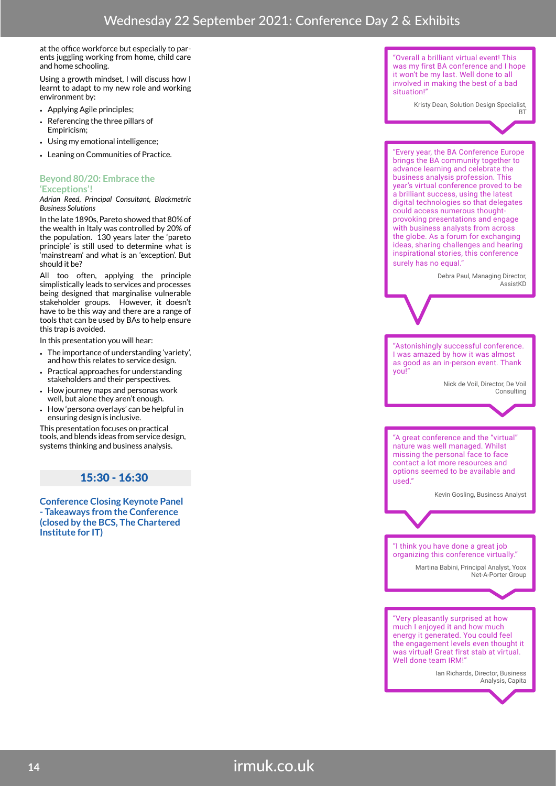at the office workforce but especially to parents juggling working from home, child care and home schooling.

Using a growth mindset, I will discuss how I learnt to adapt to my new role and working environment by:

- Applying Agile principles;
- Referencing the three pillars of Empiricism;
- Using my emotional intelligence;
- Leaning on Communities of Practice.

#### **Beyond 80/20: Embrace the 'Exceptions'!**

#### *Adrian Reed, Principal Consultant, Blackmetric Business Solutions*

In the late 1890s, Pareto showed that 80% of the wealth in Italy was controlled by 20% of the population. 130 years later the 'pareto principle' is still used to determine what is 'mainstream' and what is an 'exception'. But should it be?

All too often, applying the principle simplistically leads to services and processes being designed that marginalise vulnerable stakeholder groups. However, it doesn't have to be this way and there are a range of tools that can be used by BAs to help ensure this trap is avoided.

In this presentation you will hear:

- The importance of understanding 'variety', and how this relates to service design.
- Practical approaches for understanding stakeholders and their perspectives.
- How journey maps and personas work well, but alone they aren't enough.
- How 'persona overlays' can be helpful in ensuring design is inclusive.

This presentation focuses on practical tools, and blends ideas from service design, systems thinking and business analysis.

### $15:30 - 16:30$

**Conference Closing Keynote Panel - Takeaways from the Conference (closed by the BCS, The Chartered Institute for IT)**

"Overall a brilliant virtual event! This was my first BA conference and I hope it won't be my last. Well done to all involved in making the best of a bad situation!"

Kristy Dean, Solution Design Specialist,



"Every year, the BA Conference Europe brings the BA community together to advance learning and celebrate the business analysis profession. This year's virtual conference proved to be a brilliant success, using the latest digital technologies so that delegates could access numerous thoughtprovoking presentations and engage with business analysts from across the globe. As a forum for exchanging ideas, sharing challenges and hearing inspirational stories, this conference surely has no equal."

> Debra Paul, Managing Director, .<br>AccietKD

"Astonishingly successful conference. I was amazed by how it was almost as good as an in-person event. Thank you!"

> Nick de Voil, Director, De Voil Consulting

"A great conference and the "virtual" nature was well managed. Whilst missing the personal face to face contact a lot more resources and options seemed to be available and used."

Kevin Gosling, Business Analyst

#### "I think you have done a great job organizing this conference virtually."

Martina Babini, Principal Analyst, Yoox Net-A-Porter Group

"Very pleasantly surprised at how much I enjoyed it and how much energy it generated. You could feel the engagement levels even thought it was virtual! Great first stab at virtual. Well done team IRM!

> Ian Richards, Director, Business Analysis, Capita